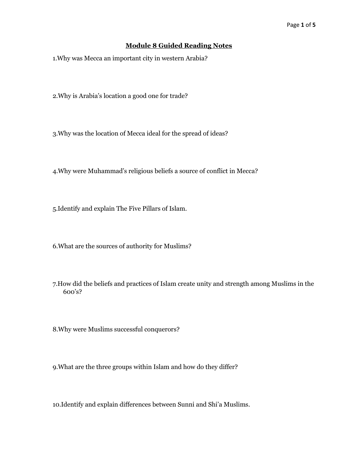## **Module 8 Guided Reading Notes**

1.Why was Mecca an important city in western Arabia?

2.Why is Arabia's location a good one for trade?

3.Why was the location of Mecca ideal for the spread of ideas?

4.Why were Muhammad's religious beliefs a source of conflict in Mecca?

5.Identify and explain The Five Pillars of Islam.

6.What are the sources of authority for Muslims?

7.How did the beliefs and practices of Islam create unity and strength among Muslims in the 600's?

8.Why were Muslims successful conquerors?

9.What are the three groups within Islam and how do they differ?

10.Identify and explain differences between Sunni and Shi'a Muslims.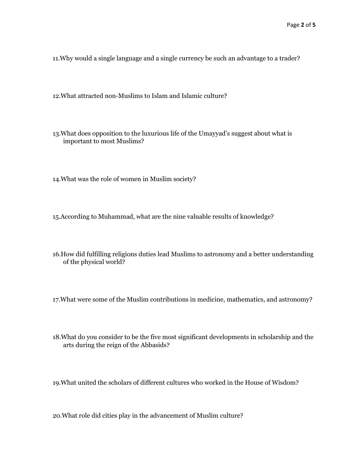11.Why would a single language and a single currency be such an advantage to a trader?

12.What attracted non-Muslims to Islam and Islamic culture?

13.What does opposition to the luxurious life of the Umayyad's suggest about what is important to most Muslims?

14.What was the role of women in Muslim society?

15.According to Muhammad, what are the nine valuable results of knowledge?

16.How did fulfilling religions duties lead Muslims to astronomy and a better understanding of the physical world?

17.What were some of the Muslim contributions in medicine, mathematics, and astronomy?

18.What do you consider to be the five most significant developments in scholarship and the arts during the reign of the Abbasids?

19.What united the scholars of different cultures who worked in the House of Wisdom?

20.What role did cities play in the advancement of Muslim culture?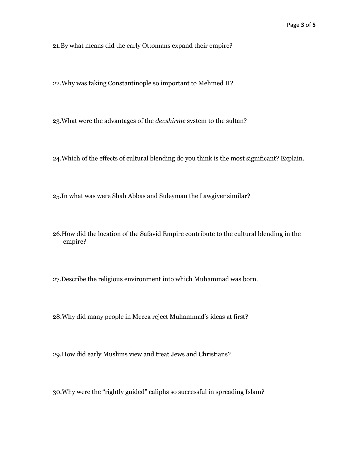21.By what means did the early Ottomans expand their empire?

22.Why was taking Constantinople so important to Mehmed II?

23.What were the advantages of the *devshirme* system to the sultan?

24.Which of the effects of cultural blending do you think is the most significant? Explain.

25.In what was were Shah Abbas and Suleyman the Lawgiver similar?

26.How did the location of the Safavid Empire contribute to the cultural blending in the empire?

27.Describe the religious environment into which Muhammad was born.

28.Why did many people in Mecca reject Muhammad's ideas at first?

29.How did early Muslims view and treat Jews and Christians?

30.Why were the "rightly guided" caliphs so successful in spreading Islam?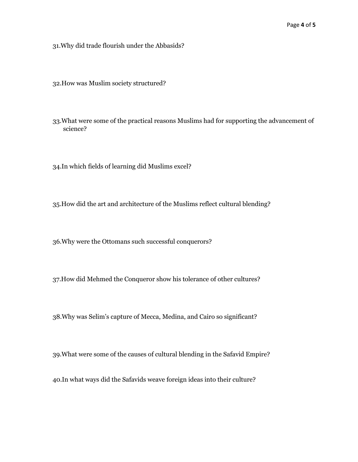31.Why did trade flourish under the Abbasids?

32.How was Muslim society structured?

33.What were some of the practical reasons Muslims had for supporting the advancement of science?

34.In which fields of learning did Muslims excel?

35.How did the art and architecture of the Muslims reflect cultural blending?

36.Why were the Ottomans such successful conquerors?

37.How did Mehmed the Conqueror show his tolerance of other cultures?

38.Why was Selim's capture of Mecca, Medina, and Cairo so significant?

39.What were some of the causes of cultural blending in the Safavid Empire?

40.In what ways did the Safavids weave foreign ideas into their culture?